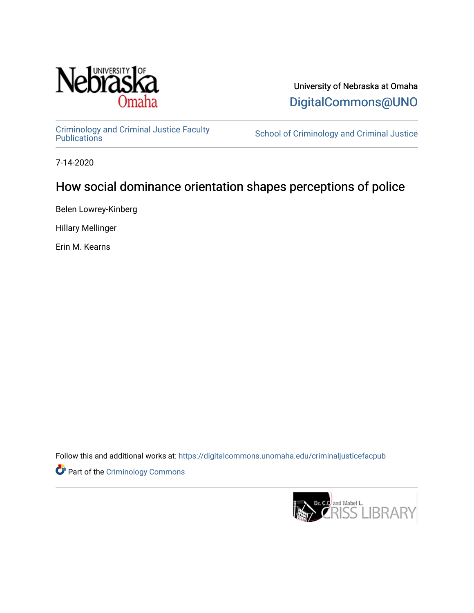

University of Nebraska at Omaha [DigitalCommons@UNO](https://digitalcommons.unomaha.edu/) 

[Criminology and Criminal Justice Faculty](https://digitalcommons.unomaha.edu/criminaljusticefacpub)

School of Criminology and Criminal Justice

7-14-2020

# How social dominance orientation shapes perceptions of police

Belen Lowrey-Kinberg

Hillary Mellinger

Erin M. Kearns

Follow this and additional works at: [https://digitalcommons.unomaha.edu/criminaljusticefacpub](https://digitalcommons.unomaha.edu/criminaljusticefacpub?utm_source=digitalcommons.unomaha.edu%2Fcriminaljusticefacpub%2F110&utm_medium=PDF&utm_campaign=PDFCoverPages) 

Part of the [Criminology Commons](https://network.bepress.com/hgg/discipline/417?utm_source=digitalcommons.unomaha.edu%2Fcriminaljusticefacpub%2F110&utm_medium=PDF&utm_campaign=PDFCoverPages) 

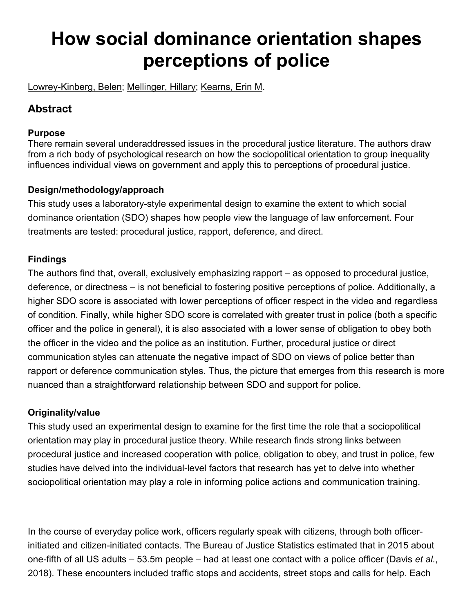# **How social dominance orientation shapes perceptions of police**

[Lowrey-Kinberg, Belen;](https://www.proquest.com/indexinglinkhandler/sng/au/Lowrey-Kinberg,+Belen/$N?accountid=14692) [Mellinger, Hillary;](https://www.proquest.com/indexinglinkhandler/sng/au/Mellinger,+Hillary/$N?accountid=14692) [Kearns, Erin M](https://www.proquest.com/indexinglinkhandler/sng/au/Kearns,+Erin+M/$N?accountid=14692). 

# **Abstract**

#### **Purpose**

There remain several underaddressed issues in the procedural justice literature. The authors draw from a rich body of psychological research on how the sociopolitical orientation to group inequality influences individual views on government and apply this to perceptions of procedural justice.

## **Design/methodology/approach**

This study uses a laboratory-style experimental design to examine the extent to which social dominance orientation (SDO) shapes how people view the language of law enforcement. Four treatments are tested: procedural justice, rapport, deference, and direct.

## **Findings**

The authors find that, overall, exclusively emphasizing rapport – as opposed to procedural justice, deference, or directness – is not beneficial to fostering positive perceptions of police. Additionally, a higher SDO score is associated with lower perceptions of officer respect in the video and regardless of condition. Finally, while higher SDO score is correlated with greater trust in police (both a specific officer and the police in general), it is also associated with a lower sense of obligation to obey both the officer in the video and the police as an institution. Further, procedural justice or direct communication styles can attenuate the negative impact of SDO on views of police better than rapport or deference communication styles. Thus, the picture that emerges from this research is more nuanced than a straightforward relationship between SDO and support for police.

## **Originality/value**

This study used an experimental design to examine for the first time the role that a sociopolitical orientation may play in procedural justice theory. While research finds strong links between procedural justice and increased cooperation with police, obligation to obey, and trust in police, few studies have delved into the individual-level factors that research has yet to delve into whether sociopolitical orientation may play a role in informing police actions and communication training.

In the course of everyday police work, officers regularly speak with citizens, through both officerinitiated and citizen-initiated contacts. The Bureau of Justice Statistics estimated that in 2015 about one-fifth of all US adults – 53.5m people – had at least one contact with a police officer (Davis *et al.*, 2018). These encounters included traffic stops and accidents, street stops and calls for help. Each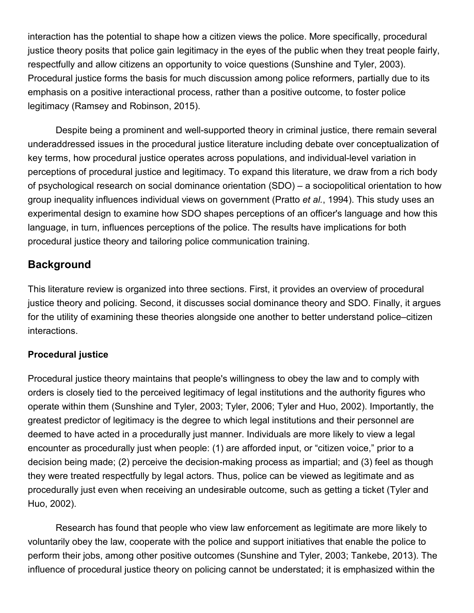interaction has the potential to shape how a citizen views the police. More specifically, procedural justice theory posits that police gain legitimacy in the eyes of the public when they treat people fairly, respectfully and allow citizens an opportunity to voice questions (Sunshine and Tyler, 2003). Procedural justice forms the basis for much discussion among police reformers, partially due to its emphasis on a positive interactional process, rather than a positive outcome, to foster police legitimacy (Ramsey and Robinson, 2015).

Despite being a prominent and well-supported theory in criminal justice, there remain several underaddressed issues in the procedural justice literature including debate over conceptualization of key terms, how procedural justice operates across populations, and individual-level variation in perceptions of procedural justice and legitimacy. To expand this literature, we draw from a rich body of psychological research on social dominance orientation (SDO) – a sociopolitical orientation to how group inequality influences individual views on government (Pratto *et al.*, 1994). This study uses an experimental design to examine how SDO shapes perceptions of an officer's language and how this language, in turn, influences perceptions of the police. The results have implications for both procedural justice theory and tailoring police communication training.

## **Background**

This literature review is organized into three sections. First, it provides an overview of procedural justice theory and policing. Second, it discusses social dominance theory and SDO. Finally, it argues for the utility of examining these theories alongside one another to better understand police–citizen interactions.

## **Procedural justice**

Procedural justice theory maintains that people's willingness to obey the law and to comply with orders is closely tied to the perceived legitimacy of legal institutions and the authority figures who operate within them (Sunshine and Tyler, 2003; Tyler, 2006; Tyler and Huo, 2002). Importantly, the greatest predictor of legitimacy is the degree to which legal institutions and their personnel are deemed to have acted in a procedurally just manner. Individuals are more likely to view a legal encounter as procedurally just when people: (1) are afforded input, or "citizen voice," prior to a decision being made; (2) perceive the decision-making process as impartial; and (3) feel as though they were treated respectfully by legal actors. Thus, police can be viewed as legitimate and as procedurally just even when receiving an undesirable outcome, such as getting a ticket (Tyler and Huo, 2002).

Research has found that people who view law enforcement as legitimate are more likely to voluntarily obey the law, cooperate with the police and support initiatives that enable the police to perform their jobs, among other positive outcomes (Sunshine and Tyler, 2003; Tankebe, 2013). The influence of procedural justice theory on policing cannot be understated; it is emphasized within the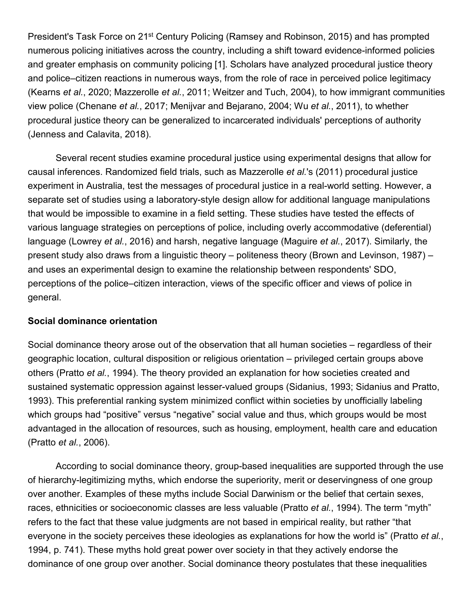President's Task Force on 21<sup>st</sup> Century Policing (Ramsey and Robinson, 2015) and has prompted numerous policing initiatives across the country, including a shift toward evidence-informed policies and greater emphasis on community policing [1]. Scholars have analyzed procedural justice theory and police–citizen reactions in numerous ways, from the role of race in perceived police legitimacy (Kearns *et al.*, 2020; Mazzerolle *et al.*, 2011; Weitzer and Tuch, 2004), to how immigrant communities view police (Chenane *et al.*, 2017; Menijvar and Bejarano, 2004; Wu *et al.*, 2011), to whether procedural justice theory can be generalized to incarcerated individuals' perceptions of authority (Jenness and Calavita, 2018).

Several recent studies examine procedural justice using experimental designs that allow for causal inferences. Randomized field trials, such as Mazzerolle *et al.*'s (2011) procedural justice experiment in Australia, test the messages of procedural justice in a real-world setting. However, a separate set of studies using a laboratory-style design allow for additional language manipulations that would be impossible to examine in a field setting. These studies have tested the effects of various language strategies on perceptions of police, including overly accommodative (deferential) language (Lowrey *et al.*, 2016) and harsh, negative language (Maguire *et al.*, 2017). Similarly, the present study also draws from a linguistic theory – politeness theory (Brown and Levinson, 1987) – and uses an experimental design to examine the relationship between respondents' SDO, perceptions of the police–citizen interaction, views of the specific officer and views of police in general.

#### **Social dominance orientation**

Social dominance theory arose out of the observation that all human societies – regardless of their geographic location, cultural disposition or religious orientation – privileged certain groups above others (Pratto *et al.*, 1994). The theory provided an explanation for how societies created and sustained systematic oppression against lesser-valued groups (Sidanius, 1993; Sidanius and Pratto, 1993). This preferential ranking system minimized conflict within societies by unofficially labeling which groups had "positive" versus "negative" social value and thus, which groups would be most advantaged in the allocation of resources, such as housing, employment, health care and education (Pratto *et al.*, 2006).

According to social dominance theory, group-based inequalities are supported through the use of hierarchy-legitimizing myths, which endorse the superiority, merit or deservingness of one group over another. Examples of these myths include Social Darwinism or the belief that certain sexes, races, ethnicities or socioeconomic classes are less valuable (Pratto *et al.*, 1994). The term "myth" refers to the fact that these value judgments are not based in empirical reality, but rather "that everyone in the society perceives these ideologies as explanations for how the world is" (Pratto *et al.*, 1994, p. 741). These myths hold great power over society in that they actively endorse the dominance of one group over another. Social dominance theory postulates that these inequalities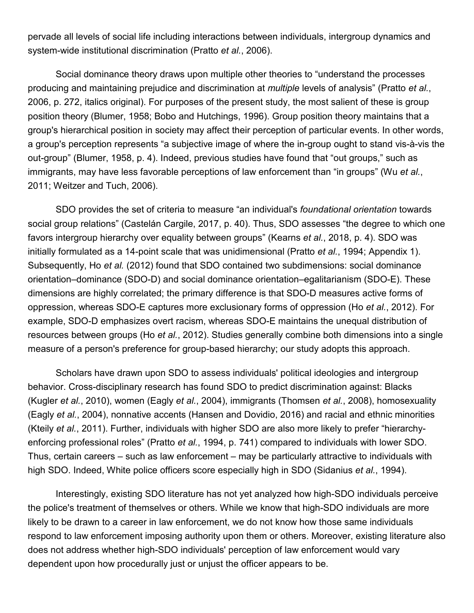pervade all levels of social life including interactions between individuals, intergroup dynamics and system-wide institutional discrimination (Pratto *et al.*, 2006).

Social dominance theory draws upon multiple other theories to "understand the processes producing and maintaining prejudice and discrimination at *multiple* levels of analysis" (Pratto *et al.*, 2006, p. 272, italics original). For purposes of the present study, the most salient of these is group position theory (Blumer, 1958; Bobo and Hutchings, 1996). Group position theory maintains that a group's hierarchical position in society may affect their perception of particular events. In other words, a group's perception represents "a subjective image of where the in-group ought to stand vis-à-vis the out-group" (Blumer, 1958, p. 4). Indeed, previous studies have found that "out groups," such as immigrants, may have less favorable perceptions of law enforcement than "in groups" (Wu *et al.*, 2011; Weitzer and Tuch, 2006).

SDO provides the set of criteria to measure "an individual's *foundational orientation* towards social group relations" (Castelán Cargile, 2017, p. 40). Thus, SDO assesses "the degree to which one favors intergroup hierarchy over equality between groups" (Kearns *et al.*, 2018, p. 4). SDO was initially formulated as a 14-point scale that was unidimensional (Pratto *et al.*, 1994; Appendix 1). Subsequently, Ho *et al.* (2012) found that SDO contained two subdimensions: social dominance orientation–dominance (SDO-D) and social dominance orientation–egalitarianism (SDO-E). These dimensions are highly correlated; the primary difference is that SDO-D measures active forms of oppression, whereas SDO-E captures more exclusionary forms of oppression (Ho *et al.*, 2012). For example, SDO-D emphasizes overt racism, whereas SDO-E maintains the unequal distribution of resources between groups (Ho *et al.*, 2012). Studies generally combine both dimensions into a single measure of a person's preference for group-based hierarchy; our study adopts this approach.

Scholars have drawn upon SDO to assess individuals' political ideologies and intergroup behavior. Cross-disciplinary research has found SDO to predict discrimination against: Blacks (Kugler *et al.*, 2010), women (Eagly *et al.*, 2004), immigrants (Thomsen *et al.*, 2008), homosexuality (Eagly *et al.*, 2004), nonnative accents (Hansen and Dovidio, 2016) and racial and ethnic minorities (Kteily *et al.*, 2011). Further, individuals with higher SDO are also more likely to prefer "hierarchyenforcing professional roles" (Pratto *et al.*, 1994, p. 741) compared to individuals with lower SDO. Thus, certain careers – such as law enforcement – may be particularly attractive to individuals with high SDO. Indeed, White police officers score especially high in SDO (Sidanius *et al.*, 1994).

Interestingly, existing SDO literature has not yet analyzed how high-SDO individuals perceive the police's treatment of themselves or others. While we know that high-SDO individuals are more likely to be drawn to a career in law enforcement, we do not know how those same individuals respond to law enforcement imposing authority upon them or others. Moreover, existing literature also does not address whether high-SDO individuals' perception of law enforcement would vary dependent upon how procedurally just or unjust the officer appears to be.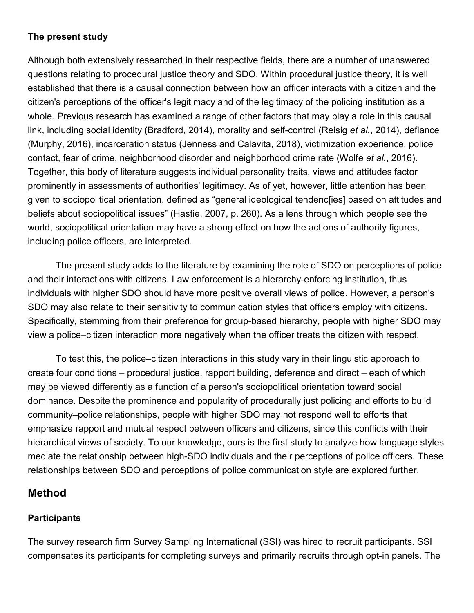#### **The present study**

Although both extensively researched in their respective fields, there are a number of unanswered questions relating to procedural justice theory and SDO. Within procedural justice theory, it is well established that there is a causal connection between how an officer interacts with a citizen and the citizen's perceptions of the officer's legitimacy and of the legitimacy of the policing institution as a whole. Previous research has examined a range of other factors that may play a role in this causal link, including social identity (Bradford, 2014), morality and self-control (Reisig *et al.*, 2014), defiance (Murphy, 2016), incarceration status (Jenness and Calavita, 2018), victimization experience, police contact, fear of crime, neighborhood disorder and neighborhood crime rate (Wolfe *et al.*, 2016). Together, this body of literature suggests individual personality traits, views and attitudes factor prominently in assessments of authorities' legitimacy. As of yet, however, little attention has been given to sociopolitical orientation, defined as "general ideological tendenc[ies] based on attitudes and beliefs about sociopolitical issues" (Hastie, 2007, p. 260). As a lens through which people see the world, sociopolitical orientation may have a strong effect on how the actions of authority figures, including police officers, are interpreted.

The present study adds to the literature by examining the role of SDO on perceptions of police and their interactions with citizens. Law enforcement is a hierarchy-enforcing institution, thus individuals with higher SDO should have more positive overall views of police. However, a person's SDO may also relate to their sensitivity to communication styles that officers employ with citizens. Specifically, stemming from their preference for group-based hierarchy, people with higher SDO may view a police–citizen interaction more negatively when the officer treats the citizen with respect.

To test this, the police–citizen interactions in this study vary in their linguistic approach to create four conditions – procedural justice, rapport building, deference and direct – each of which may be viewed differently as a function of a person's sociopolitical orientation toward social dominance. Despite the prominence and popularity of procedurally just policing and efforts to build community–police relationships, people with higher SDO may not respond well to efforts that emphasize rapport and mutual respect between officers and citizens, since this conflicts with their hierarchical views of society. To our knowledge, ours is the first study to analyze how language styles mediate the relationship between high-SDO individuals and their perceptions of police officers. These relationships between SDO and perceptions of police communication style are explored further.

## **Method**

#### **Participants**

The survey research firm Survey Sampling International (SSI) was hired to recruit participants. SSI compensates its participants for completing surveys and primarily recruits through opt-in panels. The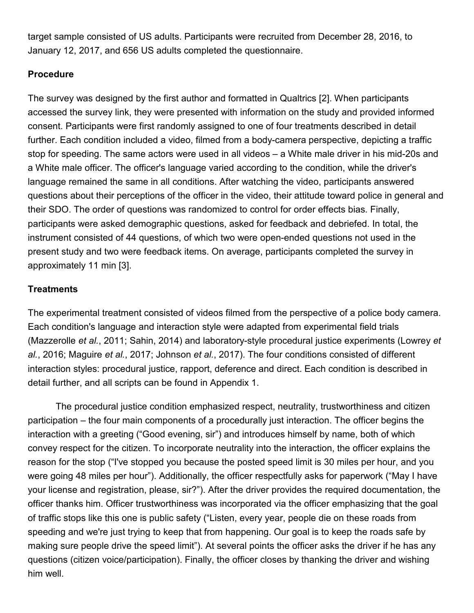target sample consisted of US adults. Participants were recruited from December 28, 2016, to January 12, 2017, and 656 US adults completed the questionnaire.

#### **Procedure**

The survey was designed by the first author and formatted in Qualtrics [2]. When participants accessed the survey link, they were presented with information on the study and provided informed consent. Participants were first randomly assigned to one of four treatments described in detail further. Each condition included a video, filmed from a body-camera perspective, depicting a traffic stop for speeding. The same actors were used in all videos – a White male driver in his mid-20s and a White male officer. The officer's language varied according to the condition, while the driver's language remained the same in all conditions. After watching the video, participants answered questions about their perceptions of the officer in the video, their attitude toward police in general and their SDO. The order of questions was randomized to control for order effects bias. Finally, participants were asked demographic questions, asked for feedback and debriefed. In total, the instrument consisted of 44 questions, of which two were open-ended questions not used in the present study and two were feedback items. On average, participants completed the survey in approximately 11 min [3].

## **Treatments**

The experimental treatment consisted of videos filmed from the perspective of a police body camera. Each condition's language and interaction style were adapted from experimental field trials (Mazzerolle *et al.*, 2011; Sahin, 2014) and laboratory-style procedural justice experiments (Lowrey *et al.*, 2016; Maguire *et al.*, 2017; Johnson *et al.*, 2017). The four conditions consisted of different interaction styles: procedural justice, rapport, deference and direct. Each condition is described in detail further, and all scripts can be found in Appendix 1.

The procedural justice condition emphasized respect, neutrality, trustworthiness and citizen participation – the four main components of a procedurally just interaction. The officer begins the interaction with a greeting ("Good evening, sir") and introduces himself by name, both of which convey respect for the citizen. To incorporate neutrality into the interaction, the officer explains the reason for the stop ("I've stopped you because the posted speed limit is 30 miles per hour, and you were going 48 miles per hour"). Additionally, the officer respectfully asks for paperwork ("May I have your license and registration, please, sir?"). After the driver provides the required documentation, the officer thanks him. Officer trustworthiness was incorporated via the officer emphasizing that the goal of traffic stops like this one is public safety ("Listen, every year, people die on these roads from speeding and we're just trying to keep that from happening. Our goal is to keep the roads safe by making sure people drive the speed limit"). At several points the officer asks the driver if he has any questions (citizen voice/participation). Finally, the officer closes by thanking the driver and wishing him well.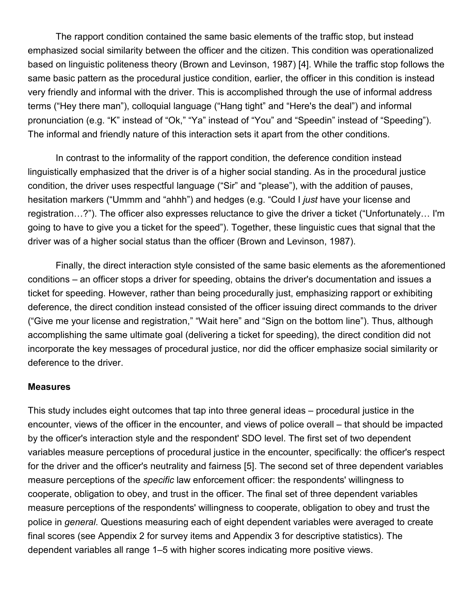The rapport condition contained the same basic elements of the traffic stop, but instead emphasized social similarity between the officer and the citizen. This condition was operationalized based on linguistic politeness theory (Brown and Levinson, 1987) [4]. While the traffic stop follows the same basic pattern as the procedural justice condition, earlier, the officer in this condition is instead very friendly and informal with the driver. This is accomplished through the use of informal address terms ("Hey there man"), colloquial language ("Hang tight" and "Here's the deal") and informal pronunciation (e.g. "K" instead of "Ok," "Ya" instead of "You" and "Speedin" instead of "Speeding"). The informal and friendly nature of this interaction sets it apart from the other conditions.

In contrast to the informality of the rapport condition, the deference condition instead linguistically emphasized that the driver is of a higher social standing. As in the procedural justice condition, the driver uses respectful language ("Sir" and "please"), with the addition of pauses, hesitation markers ("Ummm and "ahhh") and hedges (e.g. "Could I *just* have your license and registration…?"). The officer also expresses reluctance to give the driver a ticket ("Unfortunately… I'm going to have to give you a ticket for the speed"). Together, these linguistic cues that signal that the driver was of a higher social status than the officer (Brown and Levinson, 1987).

Finally, the direct interaction style consisted of the same basic elements as the aforementioned conditions – an officer stops a driver for speeding, obtains the driver's documentation and issues a ticket for speeding. However, rather than being procedurally just, emphasizing rapport or exhibiting deference, the direct condition instead consisted of the officer issuing direct commands to the driver ("Give me your license and registration," "Wait here" and "Sign on the bottom line"). Thus, although accomplishing the same ultimate goal (delivering a ticket for speeding), the direct condition did not incorporate the key messages of procedural justice, nor did the officer emphasize social similarity or deference to the driver.

#### **Measures**

This study includes eight outcomes that tap into three general ideas – procedural justice in the encounter, views of the officer in the encounter, and views of police overall – that should be impacted by the officer's interaction style and the respondent' SDO level. The first set of two dependent variables measure perceptions of procedural justice in the encounter, specifically: the officer's respect for the driver and the officer's neutrality and fairness [5]. The second set of three dependent variables measure perceptions of the *specific* law enforcement officer: the respondents' willingness to cooperate, obligation to obey, and trust in the officer. The final set of three dependent variables measure perceptions of the respondents' willingness to cooperate, obligation to obey and trust the police in *general*. Questions measuring each of eight dependent variables were averaged to create final scores (see Appendix 2 for survey items and Appendix 3 for descriptive statistics). The dependent variables all range 1–5 with higher scores indicating more positive views.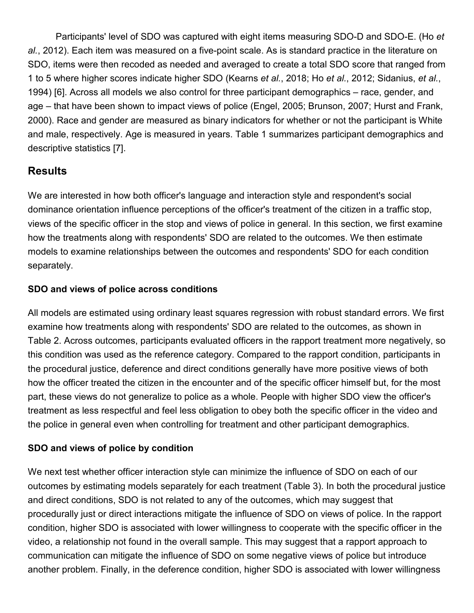Participants' level of SDO was captured with eight items measuring SDO-D and SDO-E. (Ho *et al.*, 2012). Each item was measured on a five-point scale. As is standard practice in the literature on SDO, items were then recoded as needed and averaged to create a total SDO score that ranged from 1 to 5 where higher scores indicate higher SDO (Kearns *et al.*, 2018; Ho *et al.*, 2012; Sidanius, *et al.*, 1994) [6]. Across all models we also control for three participant demographics – race, gender, and age – that have been shown to impact views of police (Engel, 2005; Brunson, 2007; Hurst and Frank, 2000). Race and gender are measured as binary indicators for whether or not the participant is White and male, respectively. Age is measured in years. Table 1 summarizes participant demographics and descriptive statistics [7].

## **Results**

We are interested in how both officer's language and interaction style and respondent's social dominance orientation influence perceptions of the officer's treatment of the citizen in a traffic stop, views of the specific officer in the stop and views of police in general. In this section, we first examine how the treatments along with respondents' SDO are related to the outcomes. We then estimate models to examine relationships between the outcomes and respondents' SDO for each condition separately.

#### **SDO and views of police across conditions**

All models are estimated using ordinary least squares regression with robust standard errors. We first examine how treatments along with respondents' SDO are related to the outcomes, as shown in Table 2. Across outcomes, participants evaluated officers in the rapport treatment more negatively, so this condition was used as the reference category. Compared to the rapport condition, participants in the procedural justice, deference and direct conditions generally have more positive views of both how the officer treated the citizen in the encounter and of the specific officer himself but, for the most part, these views do not generalize to police as a whole. People with higher SDO view the officer's treatment as less respectful and feel less obligation to obey both the specific officer in the video and the police in general even when controlling for treatment and other participant demographics.

## **SDO and views of police by condition**

We next test whether officer interaction style can minimize the influence of SDO on each of our outcomes by estimating models separately for each treatment (Table 3). In both the procedural justice and direct conditions, SDO is not related to any of the outcomes, which may suggest that procedurally just or direct interactions mitigate the influence of SDO on views of police. In the rapport condition, higher SDO is associated with lower willingness to cooperate with the specific officer in the video, a relationship not found in the overall sample. This may suggest that a rapport approach to communication can mitigate the influence of SDO on some negative views of police but introduce another problem. Finally, in the deference condition, higher SDO is associated with lower willingness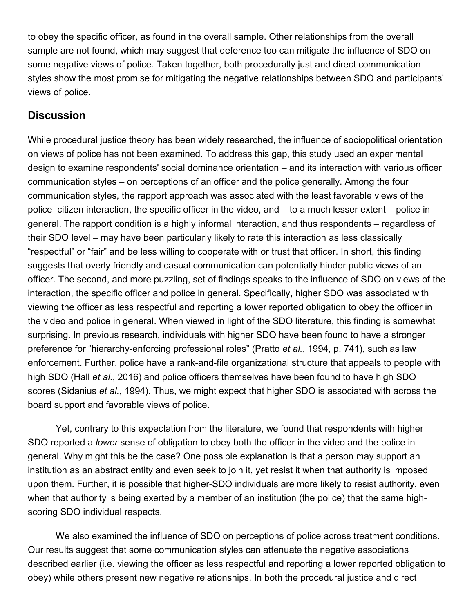to obey the specific officer, as found in the overall sample. Other relationships from the overall sample are not found, which may suggest that deference too can mitigate the influence of SDO on some negative views of police. Taken together, both procedurally just and direct communication styles show the most promise for mitigating the negative relationships between SDO and participants' views of police.

## **Discussion**

While procedural justice theory has been widely researched, the influence of sociopolitical orientation on views of police has not been examined. To address this gap, this study used an experimental design to examine respondents' social dominance orientation – and its interaction with various officer communication styles – on perceptions of an officer and the police generally. Among the four communication styles, the rapport approach was associated with the least favorable views of the police–citizen interaction, the specific officer in the video, and – to a much lesser extent – police in general. The rapport condition is a highly informal interaction, and thus respondents – regardless of their SDO level – may have been particularly likely to rate this interaction as less classically "respectful" or "fair" and be less willing to cooperate with or trust that officer. In short, this finding suggests that overly friendly and casual communication can potentially hinder public views of an officer. The second, and more puzzling, set of findings speaks to the influence of SDO on views of the interaction, the specific officer and police in general. Specifically, higher SDO was associated with viewing the officer as less respectful and reporting a lower reported obligation to obey the officer in the video and police in general. When viewed in light of the SDO literature, this finding is somewhat surprising. In previous research, individuals with higher SDO have been found to have a stronger preference for "hierarchy-enforcing professional roles" (Pratto *et al.*, 1994, p. 741), such as law enforcement. Further, police have a rank-and-file organizational structure that appeals to people with high SDO (Hall *et al.*, 2016) and police officers themselves have been found to have high SDO scores (Sidanius *et al.*, 1994). Thus, we might expect that higher SDO is associated with across the board support and favorable views of police.

Yet, contrary to this expectation from the literature, we found that respondents with higher SDO reported a *lower* sense of obligation to obey both the officer in the video and the police in general. Why might this be the case? One possible explanation is that a person may support an institution as an abstract entity and even seek to join it, yet resist it when that authority is imposed upon them. Further, it is possible that higher-SDO individuals are more likely to resist authority, even when that authority is being exerted by a member of an institution (the police) that the same highscoring SDO individual respects.

We also examined the influence of SDO on perceptions of police across treatment conditions. Our results suggest that some communication styles can attenuate the negative associations described earlier (i.e. viewing the officer as less respectful and reporting a lower reported obligation to obey) while others present new negative relationships. In both the procedural justice and direct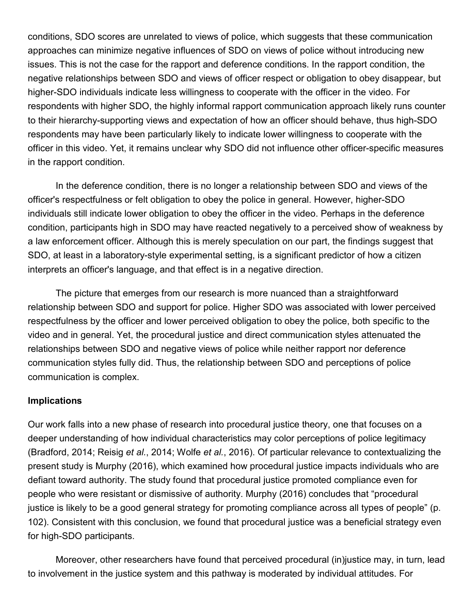conditions, SDO scores are unrelated to views of police, which suggests that these communication approaches can minimize negative influences of SDO on views of police without introducing new issues. This is not the case for the rapport and deference conditions. In the rapport condition, the negative relationships between SDO and views of officer respect or obligation to obey disappear, but higher-SDO individuals indicate less willingness to cooperate with the officer in the video. For respondents with higher SDO, the highly informal rapport communication approach likely runs counter to their hierarchy-supporting views and expectation of how an officer should behave, thus high-SDO respondents may have been particularly likely to indicate lower willingness to cooperate with the officer in this video. Yet, it remains unclear why SDO did not influence other officer-specific measures in the rapport condition.

In the deference condition, there is no longer a relationship between SDO and views of the officer's respectfulness or felt obligation to obey the police in general. However, higher-SDO individuals still indicate lower obligation to obey the officer in the video. Perhaps in the deference condition, participants high in SDO may have reacted negatively to a perceived show of weakness by a law enforcement officer. Although this is merely speculation on our part, the findings suggest that SDO, at least in a laboratory-style experimental setting, is a significant predictor of how a citizen interprets an officer's language, and that effect is in a negative direction.

The picture that emerges from our research is more nuanced than a straightforward relationship between SDO and support for police. Higher SDO was associated with lower perceived respectfulness by the officer and lower perceived obligation to obey the police, both specific to the video and in general. Yet, the procedural justice and direct communication styles attenuated the relationships between SDO and negative views of police while neither rapport nor deference communication styles fully did. Thus, the relationship between SDO and perceptions of police communication is complex.

#### **Implications**

Our work falls into a new phase of research into procedural justice theory, one that focuses on a deeper understanding of how individual characteristics may color perceptions of police legitimacy (Bradford, 2014; Reisig *et al.*, 2014; Wolfe *et al.*, 2016). Of particular relevance to contextualizing the present study is Murphy (2016), which examined how procedural justice impacts individuals who are defiant toward authority. The study found that procedural justice promoted compliance even for people who were resistant or dismissive of authority. Murphy (2016) concludes that "procedural justice is likely to be a good general strategy for promoting compliance across all types of people" (p. 102). Consistent with this conclusion, we found that procedural justice was a beneficial strategy even for high-SDO participants.

Moreover, other researchers have found that perceived procedural (in)justice may, in turn, lead to involvement in the justice system and this pathway is moderated by individual attitudes. For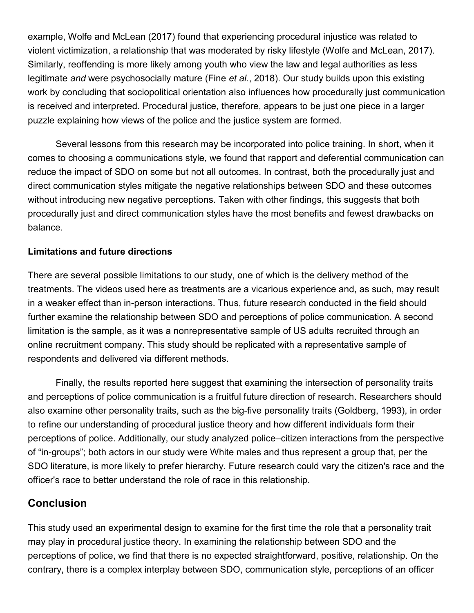example, Wolfe and McLean (2017) found that experiencing procedural injustice was related to violent victimization, a relationship that was moderated by risky lifestyle (Wolfe and McLean, 2017). Similarly, reoffending is more likely among youth who view the law and legal authorities as less legitimate *and* were psychosocially mature (Fine *et al.*, 2018). Our study builds upon this existing work by concluding that sociopolitical orientation also influences how procedurally just communication is received and interpreted. Procedural justice, therefore, appears to be just one piece in a larger puzzle explaining how views of the police and the justice system are formed.

Several lessons from this research may be incorporated into police training. In short, when it comes to choosing a communications style, we found that rapport and deferential communication can reduce the impact of SDO on some but not all outcomes. In contrast, both the procedurally just and direct communication styles mitigate the negative relationships between SDO and these outcomes without introducing new negative perceptions. Taken with other findings, this suggests that both procedurally just and direct communication styles have the most benefits and fewest drawbacks on balance.

#### **Limitations and future directions**

There are several possible limitations to our study, one of which is the delivery method of the treatments. The videos used here as treatments are a vicarious experience and, as such, may result in a weaker effect than in-person interactions. Thus, future research conducted in the field should further examine the relationship between SDO and perceptions of police communication. A second limitation is the sample, as it was a nonrepresentative sample of US adults recruited through an online recruitment company. This study should be replicated with a representative sample of respondents and delivered via different methods.

Finally, the results reported here suggest that examining the intersection of personality traits and perceptions of police communication is a fruitful future direction of research. Researchers should also examine other personality traits, such as the big-five personality traits (Goldberg, 1993), in order to refine our understanding of procedural justice theory and how different individuals form their perceptions of police. Additionally, our study analyzed police–citizen interactions from the perspective of "in-groups"; both actors in our study were White males and thus represent a group that, per the SDO literature, is more likely to prefer hierarchy. Future research could vary the citizen's race and the officer's race to better understand the role of race in this relationship.

## **Conclusion**

This study used an experimental design to examine for the first time the role that a personality trait may play in procedural justice theory. In examining the relationship between SDO and the perceptions of police, we find that there is no expected straightforward, positive, relationship. On the contrary, there is a complex interplay between SDO, communication style, perceptions of an officer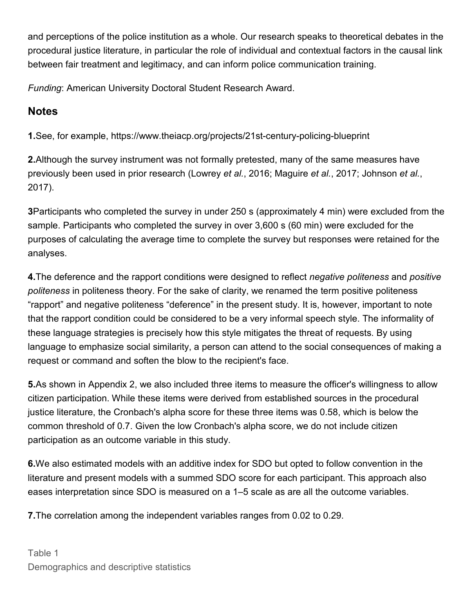and perceptions of the police institution as a whole. Our research speaks to theoretical debates in the procedural justice literature, in particular the role of individual and contextual factors in the causal link between fair treatment and legitimacy, and can inform police communication training.

*Funding*: American University Doctoral Student Research Award.

# **Notes**

**1.**See, for example, https://www.theiacp.org/projects/21st-century-policing-blueprint

**2.**Although the survey instrument was not formally pretested, many of the same measures have previously been used in prior research (Lowrey *et al.*, 2016; Maguire *et al.*, 2017; Johnson *et al.*, 2017).

**3**Participants who completed the survey in under 250 s (approximately 4 min) were excluded from the sample. Participants who completed the survey in over 3,600 s (60 min) were excluded for the purposes of calculating the average time to complete the survey but responses were retained for the analyses.

**4.**The deference and the rapport conditions were designed to reflect *negative politeness* and *positive politeness* in politeness theory. For the sake of clarity, we renamed the term positive politeness "rapport" and negative politeness "deference" in the present study. It is, however, important to note that the rapport condition could be considered to be a very informal speech style. The informality of these language strategies is precisely how this style mitigates the threat of requests. By using language to emphasize social similarity, a person can attend to the social consequences of making a request or command and soften the blow to the recipient's face.

**5.**As shown in Appendix 2, we also included three items to measure the officer's willingness to allow citizen participation. While these items were derived from established sources in the procedural justice literature, the Cronbach's alpha score for these three items was 0.58, which is below the common threshold of 0.7. Given the low Cronbach's alpha score, we do not include citizen participation as an outcome variable in this study.

**6.**We also estimated models with an additive index for SDO but opted to follow convention in the literature and present models with a summed SDO score for each participant. This approach also eases interpretation since SDO is measured on a 1–5 scale as are all the outcome variables.

**7.**The correlation among the independent variables ranges from 0.02 to 0.29.

Table 1 Demographics and descriptive statistics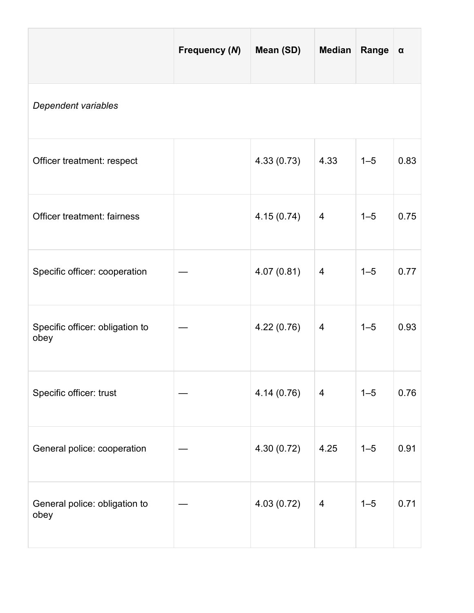|                                         | Frequency (N) | Mean (SD)  | <b>Median</b>  | Range   | $\pmb{\alpha}$ |
|-----------------------------------------|---------------|------------|----------------|---------|----------------|
| Dependent variables                     |               |            |                |         |                |
| Officer treatment: respect              |               | 4.33(0.73) | 4.33           | $1 - 5$ | 0.83           |
| <b>Officer treatment: fairness</b>      |               | 4.15(0.74) | $\overline{4}$ | $1 - 5$ | 0.75           |
| Specific officer: cooperation           |               | 4.07(0.81) | $\overline{4}$ | $1 - 5$ | 0.77           |
| Specific officer: obligation to<br>obey |               | 4.22(0.76) | 4              | $1 - 5$ | 0.93           |
| Specific officer: trust                 |               | 4.14(0.76) | 4              | $1 - 5$ | 0.76           |
| General police: cooperation             |               | 4.30(0.72) | 4.25           | $1 - 5$ | 0.91           |
| General police: obligation to<br>obey   |               | 4.03(0.72) | 4              | $1 - 5$ | 0.71           |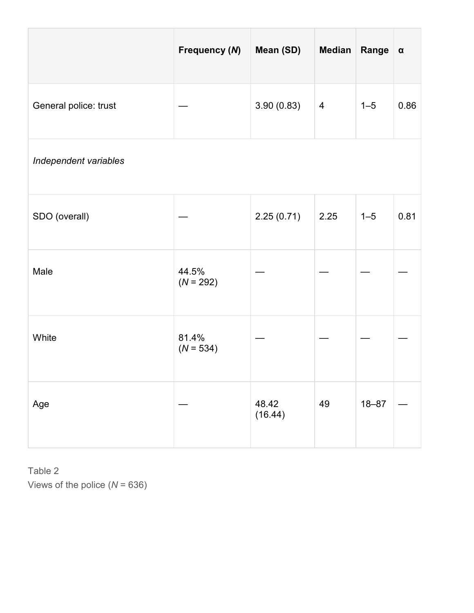|                       | Frequency (N)        | Mean (SD)        | <b>Median</b> | Range     | $\pmb{\alpha}$ |
|-----------------------|----------------------|------------------|---------------|-----------|----------------|
| General police: trust |                      | 3.90(0.83)       | 4             | $1 - 5$   | 0.86           |
| Independent variables |                      |                  |               |           |                |
| SDO (overall)         |                      | 2.25(0.71)       | 2.25          | $1 - 5$   | 0.81           |
| Male                  | 44.5%<br>$(N = 292)$ |                  |               |           |                |
| White                 | 81.4%<br>$(N = 534)$ |                  |               |           |                |
| Age                   |                      | 48.42<br>(16.44) | 49            | $18 - 87$ |                |

Table 2

Views of the police (*N* = 636)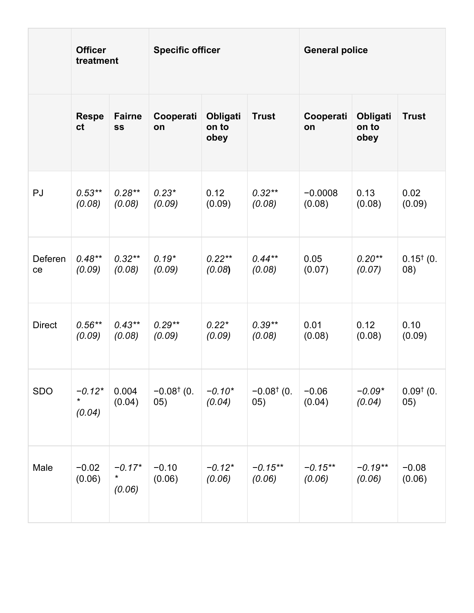|               | <b>Officer</b><br>treatment   |                               | <b>Specific officer</b>         |                           |                              | <b>General police</b> |                           |                              |
|---------------|-------------------------------|-------------------------------|---------------------------------|---------------------------|------------------------------|-----------------------|---------------------------|------------------------------|
|               | <b>Respe</b><br>ct            | <b>Fairne</b><br>SS           | Cooperati<br>on                 | Obligati<br>on to<br>obey | <b>Trust</b>                 | Cooperati<br>on       | Obligati<br>on to<br>obey | <b>Trust</b>                 |
| <b>PJ</b>     | $0.53**$<br>(0.08)            | $0.28**$<br>(0.08)            | $0.23*$<br>(0.09)               | 0.12<br>(0.09)            | $0.32**$<br>(0.08)           | $-0.0008$<br>(0.08)   | 0.13<br>(0.08)            | 0.02<br>(0.09)               |
| Deferen<br>ce | $0.48**$<br>(0.09)            | $0.32**$<br>(0.08)            | $0.19*$<br>(0.09)               | $0.22**$<br>(0.08)        | $0.44**$<br>(0.08)           | 0.05<br>(0.07)        | $0.20**$<br>(0.07)        | $0.15^{\dagger}$ (0.<br>(08) |
| <b>Direct</b> | $0.56**$<br>(0.09)            | $0.43***$<br>(0.08)           | $0.29**$<br>(0.09)              | $0.22*$<br>(0.09)         | $0.39**$<br>(0.08)           | 0.01<br>(0.08)        | 0.12<br>(0.08)            | 0.10<br>(0.09)               |
| <b>SDO</b>    | $-0.12*$<br>$\star$<br>(0.04) | 0.004<br>(0.04)               | $-0.08$ <sup>†</sup> (0.<br>05) | $-0.10*$<br>(0.04)        | $-0.08^{\dagger}$ (0.<br>05) | $-0.06$<br>(0.04)     | $-0.09*$<br>(0.04)        | $0.09^{\dagger}$ (0.<br>05)  |
| Male          | $-0.02$<br>(0.06)             | $-0.17*$<br>$\star$<br>(0.06) | $-0.10$<br>(0.06)               | $-0.12*$<br>(0.06)        | $-0.15**$<br>(0.06)          | $-0.15**$<br>(0.06)   | $-0.19**$<br>(0.06)       | $-0.08$<br>(0.06)            |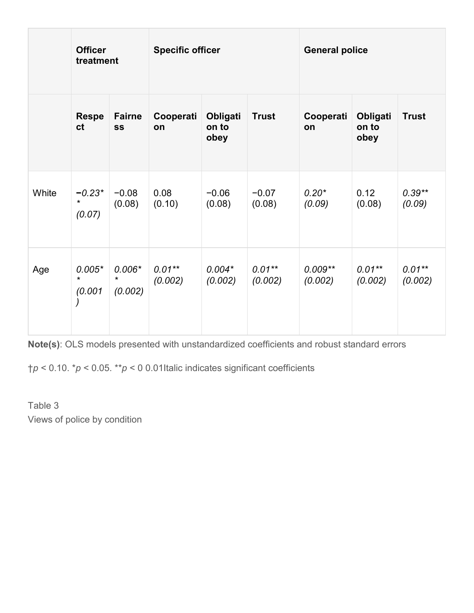|       | <b>Officer</b><br>treatment    |                                | <b>Specific officer</b> |                           |                      | <b>General police</b> |                           |                      |
|-------|--------------------------------|--------------------------------|-------------------------|---------------------------|----------------------|-----------------------|---------------------------|----------------------|
|       | <b>Respe</b><br>ct             | <b>Fairne</b><br>SS            | Cooperati<br>on         | Obligati<br>on to<br>obey | <b>Trust</b>         | Cooperati<br>on       | Obligati<br>on to<br>obey | <b>Trust</b>         |
| White | $-0.23*$<br>$\star$<br>(0.07)  | $-0.08$<br>(0.08)              | 0.08<br>(0.10)          | $-0.06$<br>(0.08)         | $-0.07$<br>(0.08)    | $0.20*$<br>(0.09)     | 0.12<br>(0.08)            | $0.39**$<br>(0.09)   |
| Age   | $0.005*$<br>$\star$<br>(0.001) | $0.006*$<br>$\star$<br>(0.002) | $0.01**$<br>(0.002)     | $0.004*$<br>(0.002)       | $0.01***$<br>(0.002) | $0.009**$<br>(0.002)  | $0.01***$<br>(0.002)      | $0.01***$<br>(0.002) |

**Note(s)**: OLS models presented with unstandardized coefficients and robust standard errors

†*p* < 0.10. \**p* < 0.05. \*\**p* < 0 0.01Italic indicates significant coefficients

Table 3 Views of police by condition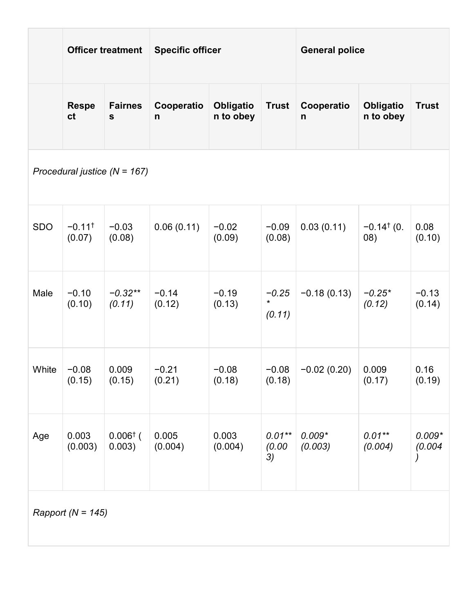|                           | <b>Officer treatment</b> |                 | <b>Specific officer</b> |              |                            | <b>General police</b>         |              |  |
|---------------------------|--------------------------|-----------------|-------------------------|--------------|----------------------------|-------------------------------|--------------|--|
| <b>Respe</b><br><b>ct</b> | <b>Fairnes</b><br>S      | Cooperatio<br>n | Obligatio<br>n to obey  | <b>Trust</b> | Cooperatio<br>$\mathsf{n}$ | <b>Obligatio</b><br>n to obey | <b>Trust</b> |  |

*Procedural justice (N = 167)*

| <b>SDO</b> | $-0.11$ <sup>+</sup><br>(0.07) | $-0.03$<br>(0.08)    | 0.06(0.11)        | $-0.02$<br>(0.09) | $-0.09$<br>(0.08)            | 0.03(0.11)          | $-0.14$ <sup>†</sup> (0.<br>(08) | 0.08<br>(0.10)      |
|------------|--------------------------------|----------------------|-------------------|-------------------|------------------------------|---------------------|----------------------------------|---------------------|
| Male       | $-0.10$<br>(0.10)              | $-0.32**$<br>(0.11)  | $-0.14$<br>(0.12) | $-0.19$<br>(0.13) | $-0.25$<br>$\star$<br>(0.11) | $-0.18(0.13)$       | $-0.25*$<br>(0.12)               | $-0.13$<br>(0.14)   |
| White      | $-0.08$<br>(0.15)              | 0.009<br>(0.15)      | $-0.21$<br>(0.21) | $-0.08$<br>(0.18) | $-0.08$<br>(0.18)            | $-0.02(0.20)$       | 0.009<br>(0.17)                  | 0.16<br>(0.19)      |
| Age        | 0.003<br>(0.003)               | $0.006†$ (<br>0.003) | 0.005<br>(0.004)  | 0.003<br>(0.004)  | $0.01**$<br>(0.00)<br>3)     | $0.009*$<br>(0.003) | $0.01**$<br>(0.004)              | $0.009*$<br>(0.004) |
|            | Rapport ( $N = 145$ )          |                      |                   |                   |                              |                     |                                  |                     |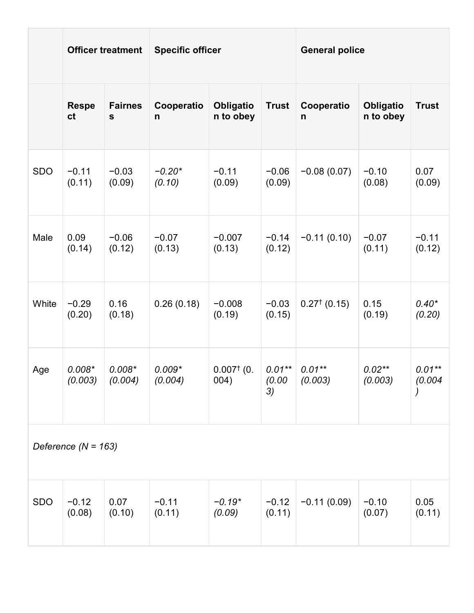|            |                         | <b>Officer treatment</b>       | <b>Specific officer</b> |                                  |                           | <b>General police</b> |                        |                     |
|------------|-------------------------|--------------------------------|-------------------------|----------------------------------|---------------------------|-----------------------|------------------------|---------------------|
|            | <b>Respe</b><br>ct      | <b>Fairnes</b><br>$\mathbf{s}$ | Cooperatio<br>n         | Obligatio<br>n to obey           | <b>Trust</b>              | Cooperatio<br>n       | Obligatio<br>n to obey | <b>Trust</b>        |
| <b>SDO</b> | $-0.11$<br>(0.11)       | $-0.03$<br>(0.09)              | $-0.20*$<br>(0.10)      | $-0.11$<br>(0.09)                | $-0.06$<br>(0.09)         | $-0.08(0.07)$         | $-0.10$<br>(0.08)      | 0.07<br>(0.09)      |
| Male       | 0.09<br>(0.14)          | $-0.06$<br>(0.12)              | $-0.07$<br>(0.13)       | $-0.007$<br>(0.13)               | $-0.14$<br>(0.12)         | $-0.11(0.10)$         | $-0.07$<br>(0.11)      | $-0.11$<br>(0.12)   |
| White      | $-0.29$<br>(0.20)       | 0.16<br>(0.18)                 | 0.26(0.18)              | $-0.008$<br>(0.19)               | $-0.03$<br>(0.15)         | $0.27^+(0.15)$        | 0.15<br>(0.19)         | $0.40*$<br>(0.20)   |
| Age        | $0.008*$<br>(0.003)     | $0.008*$<br>(0.004)            | $0.009*$<br>(0.004)     | $0.007$ <sup>†</sup> (0.<br>004) | $0.01***$<br>(0.00)<br>3) | $0.01***$<br>(0.003)  | $0.02***$<br>(0.003)   | $0.01**$<br>(0.004) |
|            | Deference ( $N = 163$ ) |                                |                         |                                  |                           |                       |                        |                     |
| <b>SDO</b> | $-0.12$<br>(0.08)       | 0.07<br>(0.10)                 | $-0.11$<br>(0.11)       | $-0.19*$<br>(0.09)               | $-0.12$<br>(0.11)         | $-0.11(0.09)$         | $-0.10$<br>(0.07)      | 0.05<br>(0.11)      |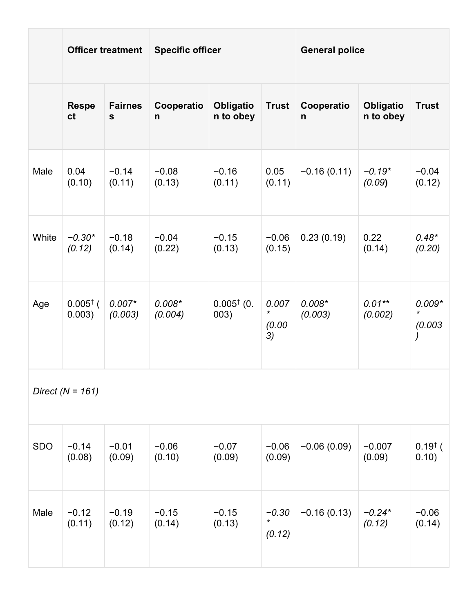|       | <b>Officer treatment</b>      |                                | <b>Specific officer</b> |                               |                                              | <b>General police</b> |                        |                                |
|-------|-------------------------------|--------------------------------|-------------------------|-------------------------------|----------------------------------------------|-----------------------|------------------------|--------------------------------|
|       | <b>Respe</b><br>ct            | <b>Fairnes</b><br>$\mathbf{s}$ | Cooperatio<br>n         | <b>Obligatio</b><br>n to obey | <b>Trust</b>                                 | Cooperatio<br>n       | Obligatio<br>n to obey | <b>Trust</b>                   |
| Male  | 0.04<br>(0.10)                | $-0.14$<br>(0.11)              | $-0.08$<br>(0.13)       | $-0.16$<br>(0.11)             | 0.05<br>(0.11)                               | $-0.16(0.11)$         | $-0.19*$<br>(0.09)     | $-0.04$<br>(0.12)              |
| White | $-0.30*$<br>(0.12)            | $-0.18$<br>(0.14)              | $-0.04$<br>(0.22)       | $-0.15$<br>(0.13)             | $-0.06$<br>(0.15)                            | 0.23(0.19)            | 0.22<br>(0.14)         | $0.48*$<br>(0.20)              |
| Age   | $0.005^{\dagger}$ (<br>0.003) | $0.007*$<br>(0.003)            | $0.008*$<br>(0.004)     | $0.005^{\dagger}$ (0.<br>003) | 0.007<br>$\star$<br>(0.00)<br>$\overline{3}$ | $0.008*$<br>(0.003)   | $0.01***$<br>(0.002)   | $0.009*$<br>$\star$<br>(0.003) |

*Direct (N = 161)*

| <b>SDO</b> | $-0.14$<br>(0.08) | $-0.01$<br>(0.09) | $-0.06$<br>(0.10) | $-0.07$<br>(0.09) | $-0.06$<br>(0.09)            | $-0.06(0.09)$ | $-0.007$<br>(0.09) | $0.19^{+}$ (<br>0.10) |
|------------|-------------------|-------------------|-------------------|-------------------|------------------------------|---------------|--------------------|-----------------------|
| Male       | $-0.12$<br>(0.11) | $-0.19$<br>(0.12) | $-0.15$<br>(0.14) | $-0.15$<br>(0.13) | $-0.30$<br>$\star$<br>(0.12) | $-0.16(0.13)$ | $-0.24*$<br>(0.12) | $-0.06$<br>(0.14)     |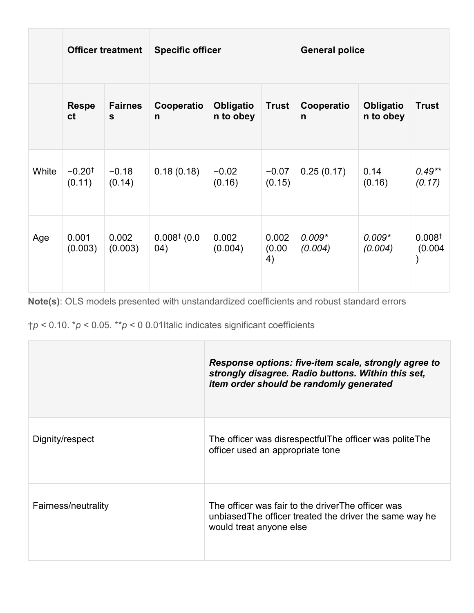|       | <b>Officer treatment</b>       |                                | <b>Specific officer</b>         |                               |                       | <b>General police</b> |                        |                               |
|-------|--------------------------------|--------------------------------|---------------------------------|-------------------------------|-----------------------|-----------------------|------------------------|-------------------------------|
|       | <b>Respe</b><br>ct             | <b>Fairnes</b><br>$\mathbf{s}$ | Cooperatio<br>n                 | <b>Obligatio</b><br>n to obey | <b>Trust</b>          | Cooperatio<br>n       | Obligatio<br>n to obey | <b>Trust</b>                  |
| White | $-0.20$ <sup>t</sup><br>(0.11) | $-0.18$<br>(0.14)              | 0.18(0.18)                      | $-0.02$<br>(0.16)             | $-0.07$<br>(0.15)     | 0.25(0.17)            | 0.14<br>(0.16)         | $0.49**$<br>(0.17)            |
| Age   | 0.001<br>(0.003)               | 0.002<br>(0.003)               | 0.008 <sup>†</sup> (0.0<br>(04) | 0.002<br>(0.004)              | 0.002<br>(0.00)<br>4) | $0.009*$<br>(0.004)   | $0.009*$<br>(0.004)    | 0.008 <sup>†</sup><br>(0.004) |

**Note(s)**: OLS models presented with unstandardized coefficients and robust standard errors

†*p* < 0.10. \**p* < 0.05. \*\**p* < 0 0.01Italic indicates significant coefficients

|                     | Response options: five-item scale, strongly agree to<br>strongly disagree. Radio buttons. Within this set,<br>item order should be randomly generated |
|---------------------|-------------------------------------------------------------------------------------------------------------------------------------------------------|
| Dignity/respect     | The officer was disrespectful The officer was polite The<br>officer used an appropriate tone                                                          |
| Fairness/neutrality | The officer was fair to the driver The officer was<br>unbiased The officer treated the driver the same way he<br>would treat anyone else              |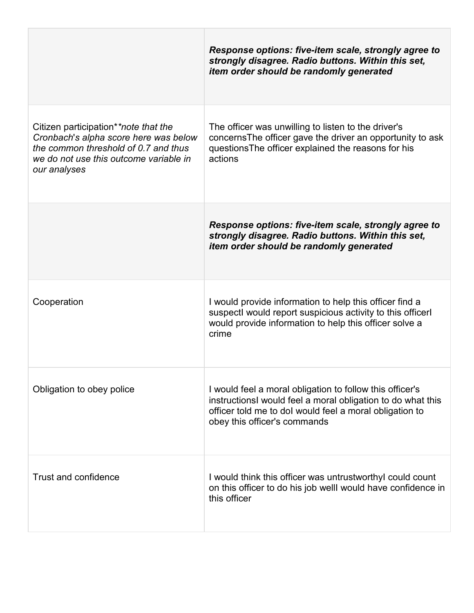|                                                                                                                                                                                 | Response options: five-item scale, strongly agree to<br>strongly disagree. Radio buttons. Within this set,<br>item order should be randomly generated                                                              |
|---------------------------------------------------------------------------------------------------------------------------------------------------------------------------------|--------------------------------------------------------------------------------------------------------------------------------------------------------------------------------------------------------------------|
| Citizen participation**note that the<br>Cronbach's alpha score here was below<br>the common threshold of 0.7 and thus<br>we do not use this outcome variable in<br>our analyses | The officer was unwilling to listen to the driver's<br>concerns The officer gave the driver an opportunity to ask<br>questions The officer explained the reasons for his<br>actions                                |
|                                                                                                                                                                                 | Response options: five-item scale, strongly agree to<br>strongly disagree. Radio buttons. Within this set,<br>item order should be randomly generated                                                              |
| Cooperation                                                                                                                                                                     | I would provide information to help this officer find a<br>suspectl would report suspicious activity to this officerl<br>would provide information to help this officer solve a<br>crime                           |
| Obligation to obey police                                                                                                                                                       | I would feel a moral obligation to follow this officer's<br>instructionsl would feel a moral obligation to do what this<br>officer told me to dol would feel a moral obligation to<br>obey this officer's commands |
| <b>Trust and confidence</b>                                                                                                                                                     | I would think this officer was untrustworthyl could count<br>on this officer to do his job welll would have confidence in<br>this officer                                                                          |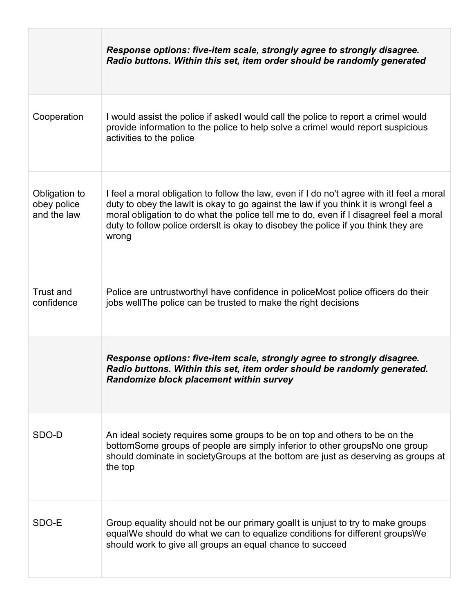|                                             | Response options: five-item scale, strongly agree to strongly disagree.<br>Radio buttons. Within this set, item order should be randomly generated                                                                                                                                                                                                                           |
|---------------------------------------------|------------------------------------------------------------------------------------------------------------------------------------------------------------------------------------------------------------------------------------------------------------------------------------------------------------------------------------------------------------------------------|
| Cooperation                                 | I would assist the police if askedI would call the police to report a crimel would<br>provide information to the police to help solve a crimel would report suspicious<br>activities to the police                                                                                                                                                                           |
| Obligation to<br>obey police<br>and the law | I feel a moral obligation to follow the law, even if I do no't agree with itl feel a moral<br>duty to obey the lawlt is okay to go against the law if you think it is wrongl feel a<br>moral obligation to do what the police tell me to do, even if I disagreel feel a moral<br>duty to follow police ordersIt is okay to disobey the police if you think they are<br>wrong |
| <b>Trust and</b><br>confidence              | Police are untrustworthyl have confidence in policeMost police officers do their<br>jobs wellThe police can be trusted to make the right decisions                                                                                                                                                                                                                           |
|                                             | Response options: five-item scale, strongly agree to strongly disagree.<br>Radio buttons. Within this set, item order should be randomly generated.<br>Randomize block placement within survey                                                                                                                                                                               |
| SDO-D                                       | An ideal society requires some groups to be on top and others to be on the<br>bottomSome groups of people are simply inferior to other groupsNo one group<br>should dominate in societyGroups at the bottom are just as deserving as groups at<br>the top                                                                                                                    |
| SDO-E                                       | Group equality should not be our primary goallt is unjust to try to make groups<br>equalWe should do what we can to equalize conditions for different groupsWe<br>should work to give all groups an equal chance to succeed                                                                                                                                                  |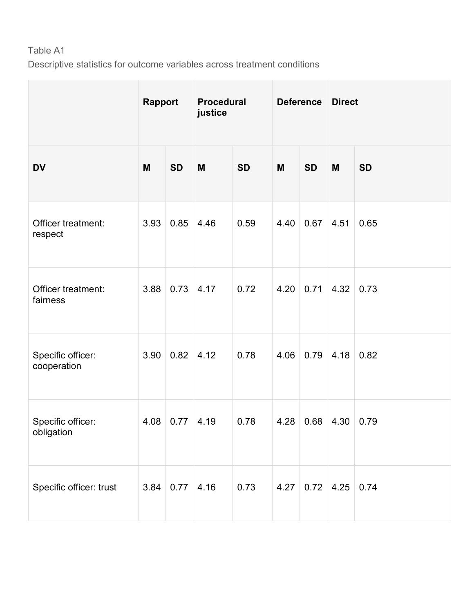## Table A1

Descriptive statistics for outcome variables across treatment conditions

|                                  | <b>Rapport</b> |             | <b>Procedural</b><br>justice |           | <b>Deference</b> |           | <b>Direct</b>         |           |
|----------------------------------|----------------|-------------|------------------------------|-----------|------------------|-----------|-----------------------|-----------|
| <b>DV</b>                        | M              | <b>SD</b>   | M                            | <b>SD</b> | M                | <b>SD</b> | M                     | <b>SD</b> |
| Officer treatment:<br>respect    | 3.93           | 0.85        | 4.46                         | 0.59      | 4.40             | 0.67      | 4.51                  | 0.65      |
| Officer treatment:<br>fairness   | 3.88           | 0.73        | 4.17                         | 0.72      | 4.20             | 0.71      | 4.32                  | 0.73      |
| Specific officer:<br>cooperation | 3.90           | 0.82        | 4.12                         | 0.78      | 4.06             | 0.79      | 4.18                  | 0.82      |
| Specific officer:<br>obligation  |                | $4.08$ 0.77 | 4.19                         | 0.78      |                  |           | $4.28$ 0.68 4.30 0.79 |           |
| Specific officer: trust          | 3.84           |             | $0.77$ 4.16                  | 0.73      | 4.27             |           | $0.72$ 4.25 0.74      |           |